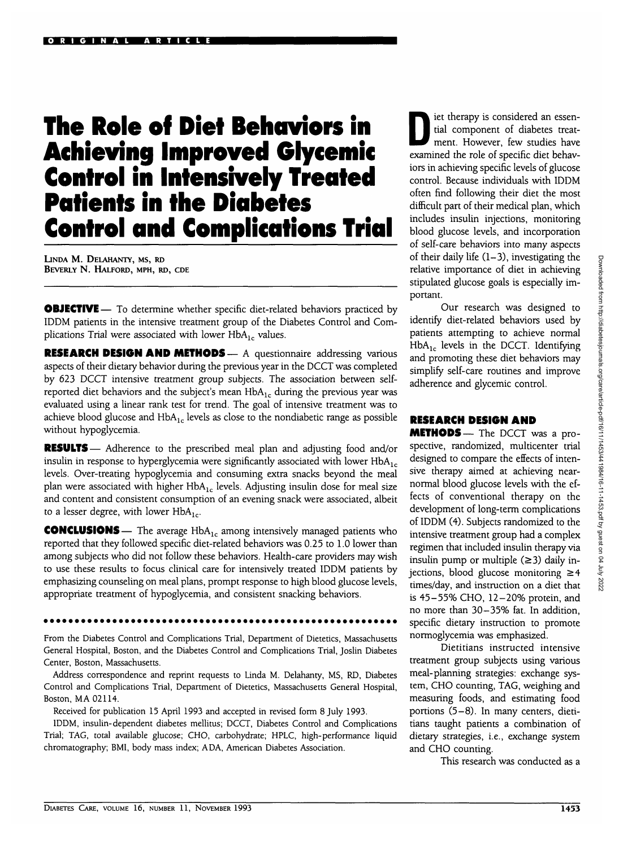# **The Role of Diet Behaviors in Achieving Improved Glycemic Control in Intensively Treated Patients in the Diabetes Control and Complications Trial**

LINDA M. DEIAHANTY, MS, RD BEVERLY N. HALFORD, MPH, RD, CDE

**OBJECTIVE** — To determine whether specific diet-related behaviors practiced by IDDM patients in the intensive treatment group of the Diabetes Control and Complications Trial were associated with lower  $HbA_1$ , values.

RESEARCH DESIGN AND METHODS — A questionnaire addressing various aspects of their dietary behavior during the previous year in the DCCT was completed by 623 DCCT intensive treatment group subjects. The association between selfreported diet behaviors and the subject's mean  $HbA_{1c}$  during the previous year was evaluated using a linear rank test for trend. The goal of intensive treatment was to achieve blood glucose and  $HbA_{1c}$  levels as close to the nondiabetic range as possible without hypoglycemia.

RESULTS— Adherence to the prescribed meal plan and adjusting food and/or insulin in response to hyperglycemia were significantly associated with lower  $HbA_{1c}$ levels. Over-treating hypoglycemia and consuming extra snacks beyond the meal plan were associated with higher  $HbA_{1c}$  levels. Adjusting insulin dose for meal size and content and consistent consumption of an evening snack were associated, albeit to a lesser degree, with lower  $HbA_{1c}$ .

**CONCLUSIONS** — The average  $HbA_{1c}$  among intensively managed patients who reported that they followed specific diet-related behaviors was 0.25 to 1.0 lower than among subjects who did not follow these behaviors. Health-care providers may wish to use these results to focus clinical care for intensively treated IDDM patients by emphasizing counseling on meal plans, prompt response to high blood glucose levels, appropriate treatment of hypoglycemia, and consistent snacking behaviors.

From the Diabetes Control and Complications Trial, Department of Dietetics, Massachusetts General Hospital, Boston, and the Diabetes Control and Complications Trial, Joslin Diabetes Center, Boston, Massachusetts.

Address correspondence and reprint requests to Linda M. Deiahanty, MS, RD, Diabetes Control and Complications Trial, Department of Dietetics, Massachusetts General Hospital, Boston, MA 02114.

Received for publication 15 April 1993 and accepted in revised form 8 July 1993.

IDDM, insulin-dependent diabetes mellitus; DCCT, Diabetes Control and Complications Trial; TAG, total available glucose; CHO, carbohydrate; HPLC, high-performance liquid chromatography; BMI, body mass index; ADA, American Diabetes Association.

Interapy is considered an essential component of diabetes treat-<br>ment. However, few studies have tial component of diabetes treatexamined the role of specific diet behaviors in achieving specific levels of glucose control. Because individuals with IDDM often find following their diet the most difficult part of their medical plan, which includes insulin injections, monitoring blood glucose levels, and incorporation of self-care behaviors into many aspects of their daily life  $(1-3)$ , investigating the relative importance of diet in achieving stipulated glucose goals is especially important.

Our research was designed to identify diet-related behaviors used by patients attempting to achieve normal  $HbA_{1c}$  levels in the DCCT. Identifying and promoting these diet behaviors may simplify self-care routines and improve adherence and glycemic control.

#### **RESEARCH DESIGN AND**

METHODS— The DCCT was a prospective, randomized, multicenter trial designed to compare the effects of intensive therapy aimed at achieving nearnormal blood glucose levels with the effects of conventional therapy on the development of long-term complications of IDDM (4). Subjects randomized to the intensive treatment group had a complex regimen that included insulin therapy via insulin pump or multiple  $(\geq 3)$  daily injections, blood glucose monitoring  $\geq 4$ times/day, and instruction on a diet that is 45-55% CHO, 12-20% protein, and no more than 30-35% fat. In addition, specific dietary instruction to promote normoglycemia was emphasized.

Dietitians instructed intensive treatment group subjects using various meal-planning strategies: exchange system, CHO counting, TAG, weighing and measuring foods, and estimating food portions (5-8). In many centers, dietitians taught patients a combination of dietary strategies, i.e., exchange system and CHO counting.

This research was conducted as a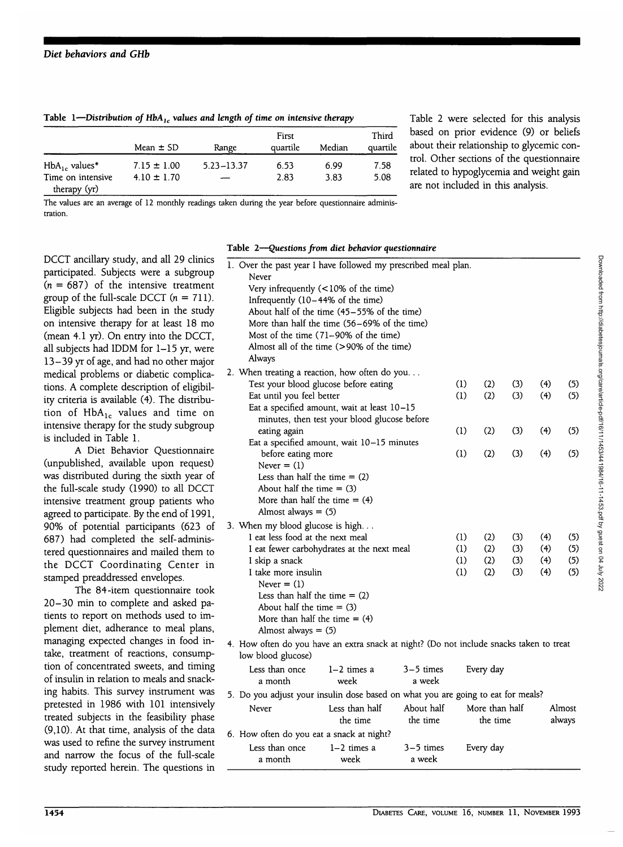|                                   | Mean $\pm$ SD   | Range        | First<br>quartile | Median | Third<br>quartile |
|-----------------------------------|-----------------|--------------|-------------------|--------|-------------------|
| $HbA_{1c}$ values*                | $7.15 \pm 1.00$ | 5.23 - 13.37 | 6.53              | 6.99   | 7.58              |
| Time on intensive<br>therapy (yr) | $4.10 \pm 1.70$ |              | 2.83              | 3.83   | 5.08              |

Table 1—Distribution of HbA, values and length of time on intensive therapy

Table 2 were selected for this analysis based on prior evidence (9) or beliefs about their relationship to glycemic control. Other sections of the questionnaire related to hypoglycemia and weight gain are not included in this analysis.

The values are an average of 12 monthly readings taken during the year before questionnaire administration.

DCCT ancillary study, and all 29 clinics participated. Subjects were a subgroup  $(n = 687)$  of the intensive treatment group of the full-scale DCCT  $(n = 711)$ . Eligible subjects had been in the study on intensive therapy for at least 18 mo (mean 4.1 yr). On entry into the DCCT, all subjects had IDDM for 1-15 yr, were 13-39 yr of age, and had no other major medical problems or diabetic complications. A complete description of eligibility criteria is available (4). The distribution of  $HbA_{1c}$  values and time on intensive therapy for the study subgroup is included in Table 1.

A Diet Behavior Questionnaire (unpublished, available upon request) was distributed during the sixth year of the full-scale study (1990) to all DCCT intensive treatment group patients who agreed to participate. By the end of 1991, 90% of potential participants (623 of 687) had completed the self-administered questionnaires and mailed them to the DCCT Coordinating Center in stamped preaddressed envelopes.

The 84-item questionnaire took 20-30 min to complete and asked patients to report on methods used to implement diet, adherance to meal plans, managing expected changes in food intake, treatment of reactions, consumption of concentrated sweets, and timing of insulin in relation to meals and snacking habits. This survey instrument was pretested in 1986 with 101 intensively treated subjects in the feasibility phase (9,10). At that time, analysis of the data was used to refine the survey instrument and narrow the focus of the full-scale study reported herein. The questions in

#### **Table 2—***Questions from diet behavior questionnaire*

| 1. Over the past year I have followed my prescribed meal plan.<br>Never                                                                                                                                                                                                         |            |            |            |            |            |
|---------------------------------------------------------------------------------------------------------------------------------------------------------------------------------------------------------------------------------------------------------------------------------|------------|------------|------------|------------|------------|
| Very infrequently $(< 10\%$ of the time)<br>Infrequently (10-44% of the time)<br>About half of the time (45-55% of the time)<br>More than half the time (56–69% of the time)<br>Most of the time $(71-90\%$ of the time)<br>Almost all of the time (>90% of the time)<br>Always |            |            |            |            |            |
| 2. When treating a reaction, how often do you<br>Test your blood glucose before eating<br>Eat until you feel better<br>Eat a specified amount, wait at least 10-15                                                                                                              | (1)<br>(1) | (2)<br>(2) | (3)<br>(3) | (4)<br>(4) | (5)<br>(5) |
| minutes, then test your blood glucose before                                                                                                                                                                                                                                    |            |            |            |            |            |
| eating again                                                                                                                                                                                                                                                                    | (1)        | (2)        | (3)        | (4)        | (5)        |
| Eat a specified amount, wait 10-15 minutes<br>before eating more<br>Never $=$ (1)                                                                                                                                                                                               | (1)        | (2)        | (3)        | (4)        | (5)        |
| Less than half the time $= (2)$<br>About half the time $= (3)$<br>More than half the time $= (4)$<br>Almost always $=$ (5)                                                                                                                                                      |            |            |            |            |            |
| 3. When my blood glucose is high                                                                                                                                                                                                                                                |            |            |            |            |            |
| I eat less food at the next meal                                                                                                                                                                                                                                                | (1)        | (2)        | (3)        | (4)        | (5)        |
| I eat fewer carbohydrates at the next meal                                                                                                                                                                                                                                      | (1)        | (2)        | (3)        | (4)        | (5)        |
| I skip a snack<br>I take more insulin<br>Never $=$ (1)                                                                                                                                                                                                                          | (1)<br>(1) | (2)<br>(2) | (3)<br>(3) | (4)<br>(4) | (5)<br>(5) |
| Less than half the time $= (2)$<br>About half the time $=$ (3)<br>More than half the time $= (4)$<br>Almost always $= (5)$                                                                                                                                                      |            |            |            |            |            |
| 4. How often do you have an extra snack at night? (Do not include snacks taken to treat<br>low blood glucose)                                                                                                                                                                   |            |            |            |            |            |
| Less than once<br>$3-5$ times<br>$1-2$ times a<br>a week<br>a month<br>week                                                                                                                                                                                                     |            | Every day  |            |            |            |
| 5. Do you adjust your insulin dose based on what you are going to eat for meals?                                                                                                                                                                                                |            |            |            |            |            |

6. How often do you eat a snack at night? Less than once a month the time 1-2 times a week the time 3-5 times a week the time Every day

About half

Less than half

Never

More than half

Almost always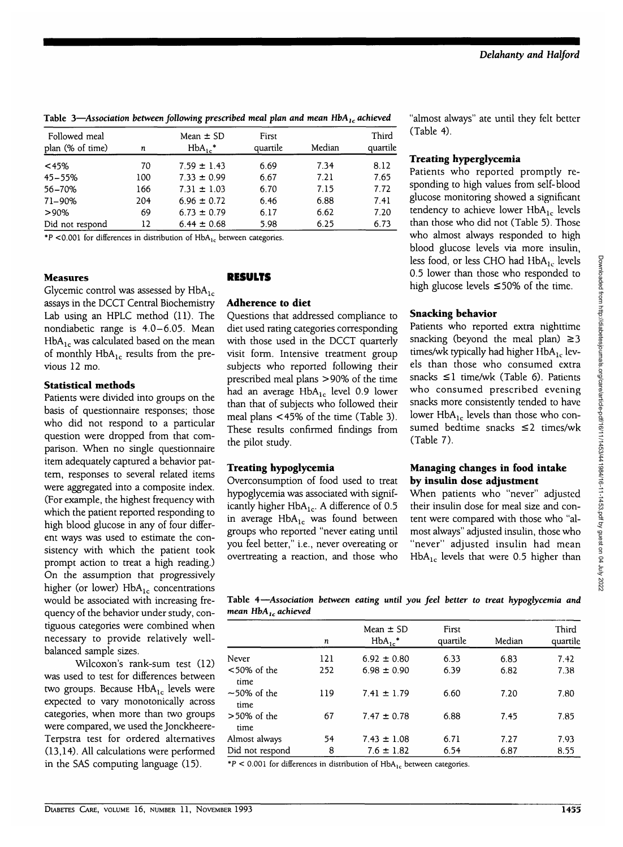# Table 3—*Association between following prescribed meal plan and mean HbA<sub>1c</sub> achieved*

| Followed meal<br>plan (% of time) | n   | Mean $\pm$ SD<br>$HbA_1$ . | First<br>quartile | Median | Third<br>quartile |
|-----------------------------------|-----|----------------------------|-------------------|--------|-------------------|
| < 45%                             | 70  | $7.59 \pm 1.43$            | 6.69              | 7.34   | 8.12              |
| $45 - 55%$                        | 100 | $7.33 \pm 0.99$            | 6.67              | 7.21   | 7.65              |
| 56-70%                            | 166 | $7.31 \pm 1.03$            | 6.70              | 7.15   | 7.72              |
| 71-90%                            | 204 | $6.96 \pm 0.72$            | 6.46              | 6.88   | 7.41              |
| $>90\%$                           | 69  | $6.73 \pm 0.79$            | 6.17              | 6.62   | 7.20              |
| Did not respond                   | 12  | $6.44 \pm 0.68$            | 5.98              | 6.25   | 6.73              |
|                                   |     |                            |                   |        |                   |

\*P <0.001 for differences in distribution of  $HbA_{1c}$  between categories.

# **Measures**

Glycemic control was assessed by  $HbA_{1c}$ assays in the DCCT Central Biochemistry Lab using an HPLC method (11). The nondiabetic range is 4.0-6.05. Mean  $HbA<sub>1c</sub>$  was calculated based on the mean of monthly  $HbA_{1c}$  results from the previous 12 mo.

#### **Statistical methods**

Patients were divided into groups on the basis of questionnaire responses; those who did not respond to a particular question were dropped from that comparison. When no single questionnaire item adequately captured a behavior pattern, responses to several related items were aggregated into a composite index. (For example, the highest frequency with which the patient reported responding to high blood glucose in any of four different ways was used to estimate the consistency with which the patient took prompt action to treat a high reading.) On the assumption that progressively higher (or lower)  $HbA_{1c}$  concentrations would be associated with increasing frequency of the behavior under study, contiguous categories were combined when necessary to provide relatively wellbalanced sample sizes.

Wilcoxon's rank-sum test (12) was used to test for differences between two groups. Because  $HbA_{1c}$  levels were expected to vary monotonically across categories, when more than two groups were compared, we used the Jonckheere-Terpstra test for ordered alternatives (13,14). All calculations were performed in the SAS computing language (15).

# **RESULTS**

### **Adherence to diet**

Questions that addressed compliance to diet used rating categories corresponding with those used in the DCCT quarterly visit form. Intensive treatment group subjects who reported following their prescribed meal plans >90% of the time had an average  $HbA_{1c}$  level 0.9 lower than that of subjects who followed their meal plans <45% of the time (Table 3). These results confirmed findings from the pilot study.

#### **Treating hypoglycemia**

Overconsumption of food used to treat hypoglycemia was associated with significantly higher  $HbA_{1c}$ . A difference of 0.5 in average  $HbA_{1c}$  was found between groups who reported "never eating until you feel better," i.e., never overeating or overtreating a reaction, and those who

"almost always" ate until they felt better (Table 4).

# **Treating hyperglycemia**

Patients who reported promptly responding to high values from self-blood glucose monitoring showed a significant tendency to achieve lower  $HbA_{1c}$  levels than those who did not (Table 5). Those who almost always responded to high blood glucose levels via more insulin, less food, or less CHO had  $HbA_1$ , levels 0.5 lower than those who responded to high glucose levels  $\leq 50\%$  of the time.

# **Snacking behavior**

Patients who reported extra nighttime snacking (beyond the meal plan)  $\geq$ 3 times/wk typically had higher  $HbA_{1c}$  levels than those who consumed extra snacks  $\leq$ 1 time/wk (Table 6). Patients who consumed prescribed evening snacks more consistently tended to have lower  $HbA_{1c}$  levels than those who consumed bedtime snacks <2 times/wk (Table 7).

#### **Managing changes in food intake by insulin dose adjustment**

When patients who "never" adjusted their insulin dose for meal size and content were compared with those who "almost always" adjusted insulin, those who "never" adjusted insulin had mean  $HbA_{1c}$  levels that were 0.5 higher than

**Table 4—***Association between eating until you feel better to treat hypoglycemia and* mean HbA<sub>1c</sub> achieved

|                        | n   | Mean $\pm$ SD<br>$HbA_{1c}^*$ | First<br>quartile | Median | Third<br>quartile |
|------------------------|-----|-------------------------------|-------------------|--------|-------------------|
| Never                  | 121 | $6.92 \pm 0.80$               | 6.33              | 6.83   | 7.42              |
| $<$ 50% of the<br>time | 252 | $6.98 \pm 0.90$               | 6.39              | 6.82   | 7.38              |
| $-50\%$ of the<br>time | 119 | $7.41 \pm 1.79$               | 6.60              | 7.20   | 7.80              |
| >50% of the<br>time    | 67  | $7.47 \pm 0.78$               | 6.88              | 7.45   | 7.85              |
| Almost always          | 54  | $7.43 \pm 1.08$               | 6.71              | 7.27   | 7.93              |
| Did not respond        | 8   | $7.6 \pm 1.82$                | 6.54              | 6.87   | 8.55              |

 $*P < 0.001$  for differences in distribution of HbA<sub>1c</sub> between categories.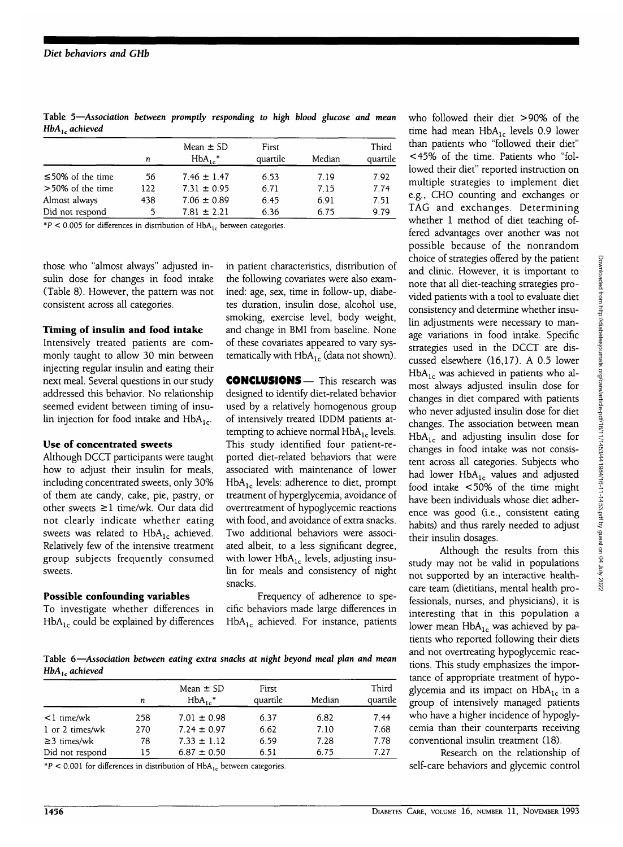| Table 5-Association between promptly responding to high blood glucose and mean |  |  |  |  |  |
|--------------------------------------------------------------------------------|--|--|--|--|--|
| $HbA1$ , achieved                                                              |  |  |  |  |  |

|                        | n   | Mean $\pm$ SD<br>$HbA_{1c}$ <sup>*</sup> | First<br>quartile | Median | Third<br>quartile |
|------------------------|-----|------------------------------------------|-------------------|--------|-------------------|
| $\leq$ 50% of the time | 56  | $7.46 \pm 1.47$                          | 6.53              | 7.19   | 7.92              |
| $>50\%$ of the time    | 122 | $7.31 \pm 0.95$                          | 6.71              | 7.15   | 7.74              |
| Almost always          | 438 | $7.06 \pm 0.89$                          | 6.45              | 6.91   | 7.51              |
| Did not respond        |     | $7.81 \pm 2.21$                          | 6.36              | 6.75   | 9.79              |

 $*P < 0.005$  for differences in distribution of HbA<sub>1c</sub> between categories.

those who "almost always" adjusted insulin dose for changes in food intake (Table 8). However, the pattern was not consistent across all categories.

#### **Timing of insulin and food intake**

Intensively treated patients are commonly taught to allow 30 min between injecting regular insulin and eating their next meal. Several questions in our study addressed this behavior. No relationship seemed evident between timing of insulin injection for food intake and  $HbA_{1c}$ .

#### **Use of concentrated sweets**

Although DCCT participants were taught how to adjust their insulin for meals, including concentrated sweets, only 30% of them ate candy, cake, pie, pastry, or other sweets  $\geq 1$  time/wk. Our data did not clearly indicate whether eating sweets was related to  $HbA_{1c}$  achieved. Relatively few of the intensive treatment group subjects frequently consumed sweets.

#### **Possible confounding variables**

To investigate whether differences in  $HbA_{1c}$  could be explained by differences

in patient characteristics, distribution of the following covariates were also examined: age, sex, time in follow-up, diabetes duration, insulin dose, alcohol use, smoking, exercise level, body weight, and change in BMI from baseline. None of these covariates appeared to vary systematically with  $HbA_{1c}$  (data not shown).

**CONCLUSIONS—** This research was designed to identify diet-related behavior used by a relatively homogenous group of intensively treated IDDM patients attempting to achieve normal  $HbA_{1c}$  levels. This study identified four patient-reported diet-related behaviors that were associated with maintenance of lower  $HbA_{1c}$  levels: adherence to diet, prompt treatment of hyperglycemia, avoidance of overtreatment of hypoglycemic reactions with food, and avoidance of extra snacks. Two additional behaviors were associated albeit, to a less significant degree, with lower  $HbA_{1c}$  levels, adjusting insulin for meals and consistency of night snacks.

Frequency of adherence to specific behaviors made large differences in  $HbA_{1c}$  achieved. For instance, patients

**Table 6—***Association between eating extra snacks at night beyond meal plan and mean HbA<sub>1c</sub>* achieved

| . .               |     |                                       |                   |        |                   |  |  |  |  |
|-------------------|-----|---------------------------------------|-------------------|--------|-------------------|--|--|--|--|
|                   | n   | Mean $\pm$ SD<br>$HbA_1$ <sup>*</sup> | First<br>quartile | Median | Third<br>quartile |  |  |  |  |
| $\leq$ l time/wk  | 258 | $7.01 \pm 0.98$                       | 6.37              | 6.82   | 7.44              |  |  |  |  |
| 1 or 2 times/wk   | 270 | $7.24 \pm 0.97$                       | 6.62              | 7.10   | 7.68              |  |  |  |  |
| $\geq$ 3 times/wk | 78  | $7.33 \pm 1.12$                       | 6.59              | 7.28   | 7.78              |  |  |  |  |
| Did not respond   | 15  | $6.87 \pm 0.50$                       | 6.51              | 6.75   | 7.27              |  |  |  |  |

 $*P < 0.001$  for differences in distribution of HbA<sub>1c</sub> between categories.

who followed their diet >90% of the time had mean  $HbA_{1c}$  levels 0.9 lower than patients who "followed their diet" <45% of the time. Patients who "followed their diet" reported instruction on multiple strategies to implement diet e.g., CHO counting and exchanges or TAG and exchanges. Determining whether 1 method of diet teaching offered advantages over another was not possible because of the nonrandom choice of strategies offered by the patient and clinic. However, it is important to note that all diet-teaching strategies provided patients with a tool to evaluate diet consistency and determine whether insulin adjustments were necessary to manage variations in food intake. Specific strategies used in the DCCT are discussed elsewhere (16,17). A 0.5 lower  $HbA_{1c}$  was achieved in patients who almost always adjusted insulin dose for changes in diet compared with patients who never adjusted insulin dose for diet changes. The association between mean  $HbA<sub>1c</sub>$  and adjusting insulin dose for changes in food intake was not consistent across all categories. Subjects who had lower  $HbA_{1c}$  values and adjusted food intake <50% of the time might have been individuals whose diet adherence was good (i.e., consistent eating habits) and thus rarely needed to adjust their insulin dosages.

Although the results from this study may not be valid in populations not supported by an interactive healthcare team (dietitians, mental health professionals, nurses, and physicians), it is interesting that in this population a lower mean  $HbA_{1c}$  was achieved by patients who reported following their diets and not overtreating hypoglycemic reactions. This study emphasizes the importance of appropriate treatment of hypoglycemia and its impact on  $HbA_{1c}$  in a group of intensively managed patients who have a higher incidence of hypoglycemia than their counterparts receiving conventional insulin treatment (18).

Research on the relationship of self-care behaviors and glycemic control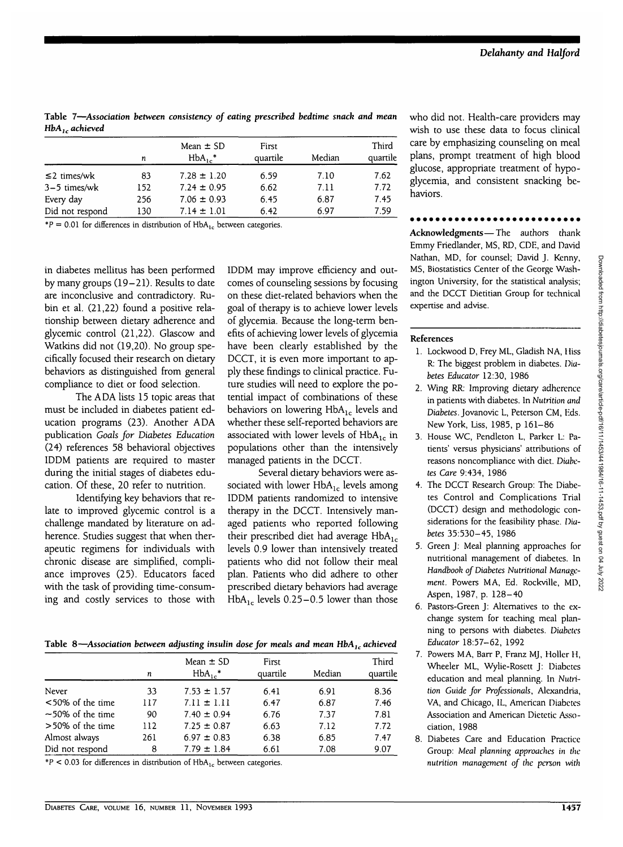| .                 |     |                             |                   |        |                   |
|-------------------|-----|-----------------------------|-------------------|--------|-------------------|
|                   | n   | Mean $\pm$ SD<br>$HbA_1$ .* | First<br>quartile | Median | Third<br>quartile |
| $\leq$ 2 times/wk | 83  | $7.28 \pm 1.20$             | 6.59              | 7.10   | 7.62              |
| $3-5$ times/wk    | 152 | $7.24 \pm 0.95$             | 6.62              | 7.11   | 7.72              |
| Every day         | 256 | $7.06 \pm 0.93$             | 6.45              | 6.87   | 7.45              |
| Did not respond   | 130 | $7.14 \pm 1.01$             | 6.42              | 6.97   | 7.59              |

 $*P = 0.01$  for differences in distribution of HbA<sub>1c</sub> between categories.

in diabetes mellitus has been performed by many groups (19-21). Results to date are inconclusive and contradictory. Rubin et al. (21,22) found a positive relationship between dietary adherence and glycemic control (21,22). Glascow and Watkins did not (19,20). No group specifically focused their research on dietary behaviors as distinguished from general compliance to diet or food selection.

The ADA lists 15 topic areas that must be included in diabetes patient education programs (23). Another ADA publication *Goals for Diabetes Education* (24) references 58 behavioral objectives IDDM patients are required to master during the initial stages of diabetes education. Of these, 20 refer to nutrition.

Identifying key behaviors that relate to improved glycemic control is a challenge mandated by literature on adherence. Studies suggest that when therapeutic regimens for individuals with chronic disease are simplified, compliance improves (25). Educators faced with the task of providing time-consuming and costly services to those with IDDM may improve efficiency and outcomes of counseling sessions by focusing on these diet-related behaviors when the goal of therapy is to achieve lower levels of glycemia. Because the long-term benefits of achieving lower levels of glycemia have been clearly established by the DCCT, it is even more important to apply these findings to clinical practice. Future studies will need to explore the potential impact of combinations of these behaviors on lowering  $HbA_{1c}$  levels and whether these self-reported behaviors are associated with lower levels of  $HbA<sub>1c</sub>$  in populations other than the intensively managed patients in the DCCT.

Several dietary behaviors were associated with lower  $HbA_{1c}$  levels among IDDM patients randomized to intensive therapy in the DCCT. Intensively managed patients who reported following their prescribed diet had average  $HbA_{1c}$ levels 0.9 lower than intensively treated patients who did not follow their meal plan. Patients who did adhere to other prescribed dietary behaviors had average HbA<sub>1c</sub> levels  $0.25-0.5$  lower than those

Table 8—*Association between adjusting insulin dose for meals and mean HbA<sub>1c</sub> achieved* 

|                        | n   | Mean $\pm$ SD<br>$HbA_{1c}^*$ | First<br>quartile | Median | Third<br>quartile |
|------------------------|-----|-------------------------------|-------------------|--------|-------------------|
| Never                  | 33  | $7.53 \pm 1.57$               | 6.41              | 6.91   | 8.36              |
| $<$ 50% of the time    | 117 | $7.11 \pm 1.11$               | 6.47              | 6.87   | 7.46              |
| $\sim$ 50% of the time | 90  | $7.40 \pm 0.94$               | 6.76              | 7.37   | 7.81              |
| $>50\%$ of the time    | 112 | $7.25 \pm 0.87$               | 6.63              | 7.12   | 7.72              |
| Almost always          | 261 | $6.97 \pm 0.83$               | 6.38              | 6.85   | 7.47              |
| Did not respond        | 8   | $7.79 \pm 1.84$               | 6.61              | 7.08   | 9.07              |
|                        |     |                               |                   |        |                   |

 $*P < 0.03$  for differences in distribution of HbA<sub>1c</sub> between categories.

who did not. Health-care providers may wish to use these data to focus clinical care by emphasizing counseling on meal plans, prompt treatment of high blood glucose, appropriate treatment of hypoglycemia, and consistent snacking behaviors.

**Acknowledgments**—The authors thank Emmy Friedlander, MS, RD, CDE, and David Nathan, MD, for counsel; David J. Kenny, MS, Biostatistics Center of the George Washington University, for the statistical analysis; and the DCCT Dietitian Group for technical expertise and advise.

### **References**

- 1. Lockwood D, Frey ML, Gladish NA, Hiss R: The biggest problem in diabetes. *Diabetes Educator* 12:30, 1986
- 2. Wing RR: Improving dietary adherence in patients with diabetes. In *Nutrition and Diabetes.* Jovanovic L, Peterson CM, Eds. New York, Uss, 1985, p 161-86
- 3. House WC, Pendleton L, Parker L: Patients' versus physicians' attributions of reasons noncompliance with diet. *Diabetes Care* 9:434, 1986
- 4. The DCCT Research Group: The Diabetes Control and Complications Trial (DCCT) design and methodologic considerations for the feasibility phase. Diabetes 35:530-45, 1986
- 5. Green J: Meal planning approaches for nutritional management of diabetes. In *Handbook of Diabetes Nutritional Management.* Powers MA, Ed. Rockville, MD, Aspen, 1987, p. 128-40
- 6. Pastors-Green J: Alternatives to the exchange system for teaching meal planning to persons with diabetes. *Diabetes Educator* 18:57-62, 1992
- 7. Powers MA, Barr P, Franz MJ, Holler H, Wheeler ML, Wylie-Rosett J: Diabetes education and meal planning, ln *Nutrition Guide for Professionals,* Alexandria, VA, and Chicago, 1L, American Diabetes Association and American Dietetic Association, 1988
- 8. Diabetes Care and Education Practice Group: *Meal planning approaches in the nutrition management of the person with*